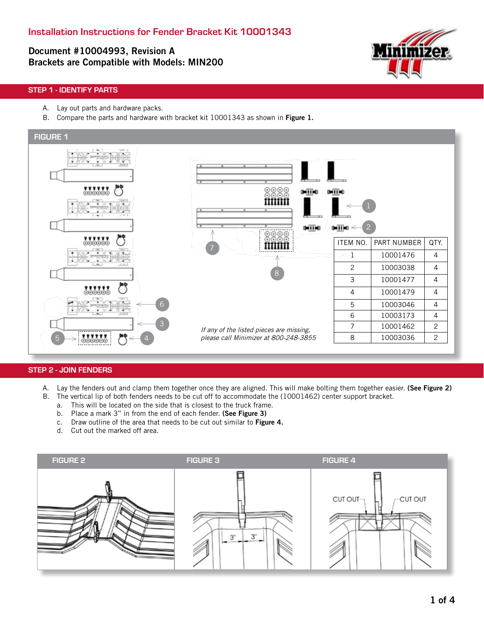## Document #10004993, Revision A Brackets are Compatible with Models: MIN200



### STEP 1 - IDENTIFY PARTS

- A. Lay out parts and hardware packs.
- B. Compare the parts and hardware with bracket kit 10001343 as shown in Figure 1.



#### STEP 2 - JOIN FENDERS

- A. Lay the fenders out and clamp them together once they are aligned. This will make bolting them together easier. (See Figure 2)
- B. The vertical lip of both fenders needs to be cut off to accommodate the (10001462) center support bracket.
	- a. This will be located on the side that is closest to the truck frame.
	- b. Place a mark 3" in from the end of each fender. (See Figure 3)
	- c. Draw outline of the area that needs to be cut out similar to Figure 4.
	- d. Cut out the marked off area.

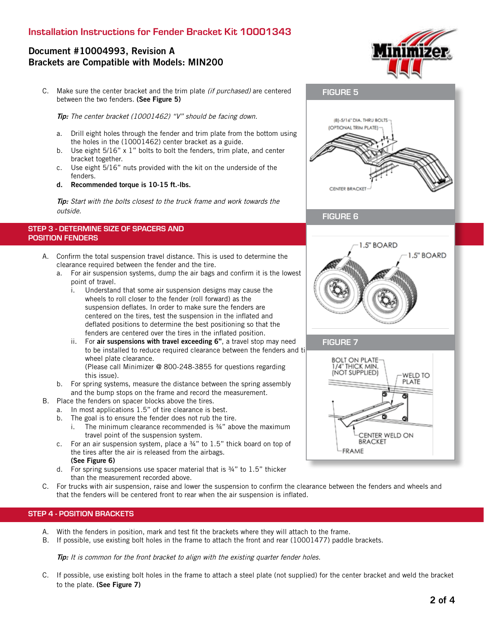### Installation Instructions for Fender Bracket Kit 10001343

## Document #10004993, Revision A Brackets are Compatible with Models: MIN200

C. Make sure the center bracket and the trim plate (if purchased) are centered between the two fenders. (See Figure 5)

Tip: The center bracket (10001462) "V" should be facing down.

- a. Drill eight holes through the fender and trim plate from the bottom using the holes in the (10001462) center bracket as a guide.
- b. Use eight 5/16" x 1" bolts to bolt the fenders, trim plate, and center bracket together.
- c. Use eight 5/16" nuts provided with the kit on the underside of the fenders.
- d. Recommended torque is 10-15 ft.-lbs.

**Tip:** Start with the bolts closest to the truck frame and work towards the outside.

#### STEP 3 - DETERMINE SIZE OF SPACERS AND POSITION FENDERS

- A. Confirm the total suspension travel distance. This is used to determine the clearance required between the fender and the tire.
	- a. For air suspension systems, dump the air bags and confirm it is the lowest point of travel.
		- i. Understand that some air suspension designs may cause the wheels to roll closer to the fender (roll forward) as the suspension deflates. In order to make sure the fenders are centered on the tires, test the suspension in the inflated and deflated positions to determine the best positioning so that the fenders are centered over the tires in the inflated position.
		- ii. For air suspensions with travel exceeding 6", a travel stop may need to be installed to reduce required clearance between the fenders and ti wheel plate clearance. (Please call Minimizer @ 800-248-3855 for questions regarding

this issue).

- b. For spring systems, measure the distance between the spring assembly and the bump stops on the frame and record the measurement.
- B. Place the fenders on spacer blocks above the tires.
	- a. In most applications 1.5" of tire clearance is best.
	- b. The goal is to ensure the fender does not rub the tire.

i. The minimum clearance recommended is ¾" above the maximum travel point of the suspension system.

- c. For an air suspension system, place a ¾" to 1.5" thick board on top of the tires after the air is released from the airbags. (See Figure 6)
- d. For spring suspensions use spacer material that is ¾" to 1.5" thicker than the measurement recorded above.
- C. For trucks with air suspension, raise and lower the suspension to confirm the clearance between the fenders and wheels and that the fenders will be centered front to rear when the air suspension is inflated.

#### STEP 4 - POSITION BRACKETS

- A. With the fenders in position, mark and test fit the brackets where they will attach to the frame.
- B. If possible, use existing bolt holes in the frame to attach the front and rear (10001477) paddle brackets.

**Tip:** It is common for the front bracket to align with the existing quarter fender holes.

C. If possible, use existing bolt holes in the frame to attach a steel plate (not supplied) for the center bracket and weld the bracket to the plate. (See Figure 7)



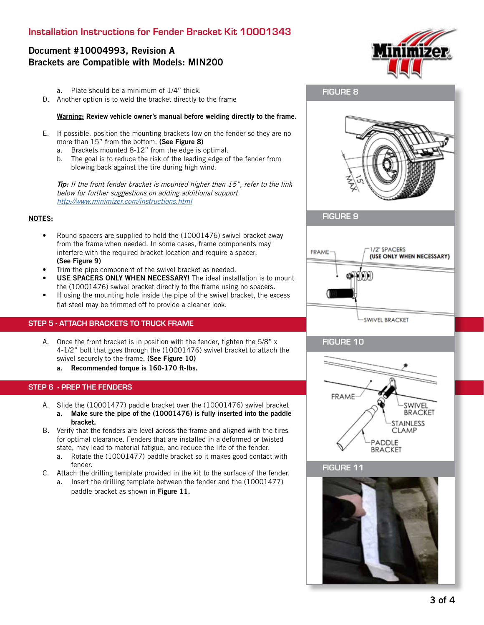# Document #10004993, Revision A Brackets are Compatible with Models: MIN200

- a. Plate should be a minimum of 1/4" thick.
- D. Another option is to weld the bracket directly to the frame

#### Warning: Review vehicle owner's manual before welding directly to the frame.

- E. If possible, position the mounting brackets low on the fender so they are no more than 15" from the bottom. (See Figure 8)
	- a. Brackets mounted 8-12" from the edge is optimal.
	- b. The goal is to reduce the risk of the leading edge of the fender from blowing back against the tire during high wind.

**Tip:** If the front fender bracket is mounted higher than 15", refer to the link below for further suggestions on adding additional support http://www.minimizer.com/instructions.html

#### NOTES:

- Round spacers are supplied to hold the (10001476) swivel bracket away from the frame when needed. In some cases, frame components may interfere with the required bracket location and require a spacer. (See Figure 9)
- Trim the pipe component of the swivel bracket as needed.
- USE SPACERS ONLY WHEN NECESSARY! The ideal installation is to mount the (10001476) swivel bracket directly to the frame using no spacers.
- If using the mounting hole inside the pipe of the swivel bracket, the excess flat steel may be trimmed off to provide a cleaner look.

### STEP 5 - ATTACH BRACKETS TO TRUCK FRAME

- A. Once the front bracket is in position with the fender, tighten the 5/8" x 4-1/2" bolt that goes through the (10001476) swivel bracket to attach the swivel securely to the frame. (See Figure 10)
	- a. Recommended torque is 160-170 ft-lbs.

### STEP 6 - PREP THE FENDERS

- A. Slide the (10001477) paddle bracket over the (10001476) swivel bracket a. Make sure the pipe of the (10001476) is fully inserted into the paddle bracket.
- B. Verify that the fenders are level across the frame and aligned with the tires for optimal clearance. Fenders that are installed in a deformed or twisted state, may lead to material fatigue, and reduce the life of the fender.
	- a. Rotate the (10001477) paddle bracket so it makes good contact with fender.
- C. Attach the drilling template provided in the kit to the surface of the fender.
	- a. Insert the drilling template between the fender and the (10001477) paddle bracket as shown in Figure 11.







FIGURE 8



### FIGURE 10



FIGURE 11